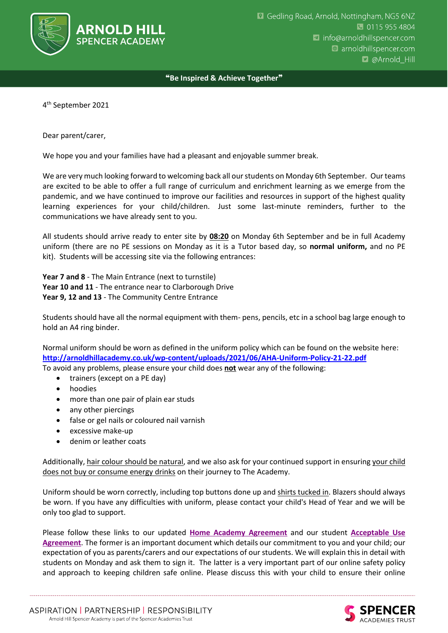

## ❝**Be Inspired & Achieve Together**❞

4 th September 2021

Dear parent/carer,

We hope you and your families have had a pleasant and enjoyable summer break.

We are very much looking forward to welcoming back all our students on Monday 6th September. Our teams are excited to be able to offer a full range of curriculum and enrichment learning as we emerge from the pandemic, and we have continued to improve our facilities and resources in support of the highest quality learning experiences for your child/children. Just some last-minute reminders, further to the communications we have already sent to you.

All students should arrive ready to enter site by **08:20** on Monday 6th September and be in full Academy uniform (there are no PE sessions on Monday as it is a Tutor based day, so **normal uniform,** and no PE kit). Students will be accessing site via the following entrances:

**Year 7 and 8** - The Main Entrance (next to turnstile) **Year 10 and 11** - The entrance near to Clarborough Drive **Year 9, 12 and 13** - The Community Centre Entrance

Students should have all the normal equipment with them- pens, pencils, etc in a school bag large enough to hold an A4 ring binder.

Normal uniform should be worn as defined in the uniform policy which can be found on the website here: **<http://arnoldhillacademy.co.uk/wp-content/uploads/2021/06/AHA-Uniform-Policy-21-22.pdf>**

To avoid any problems, please ensure your child does **not** wear any of the following:

- trainers (except on a PE day)
- hoodies
- more than one pair of plain ear studs
- any other piercings
- false or gel nails or coloured nail varnish
- excessive make-up
- denim or leather coats

Additionally, hair colour should be natural, and we also ask for your continued support in ensuring your child does not buy or consume energy drinks on their journey to The Academy.

Uniform should be worn correctly, including top buttons done up and shirts tucked in. Blazers should always be worn. If you have any difficulties with uniform, please contact your child's Head of Year and we will be only too glad to support.

Please follow these links to our updated **[Home Academy Agreement](https://drive.google.com/file/d/1VoYx3KflFTU-5D8jm6AlmylDu3sZeWfT/view?usp=sharing)** and our student **[Acceptable Use](https://drive.google.com/file/d/1p7lDdQeCeRzMgEW7F4zMDoWI7pDxaYjL/view?usp=sharing)  [Agreement](https://drive.google.com/file/d/1p7lDdQeCeRzMgEW7F4zMDoWI7pDxaYjL/view?usp=sharing)**. The former is an important document which details our commitment to you and your child; our expectation of you as parents/carers and our expectations of our students. We will explain this in detail with students on Monday and ask them to sign it. The latter is a very important part of our online safety policy and approach to keeping children safe online. Please discuss this with your child to ensure their online